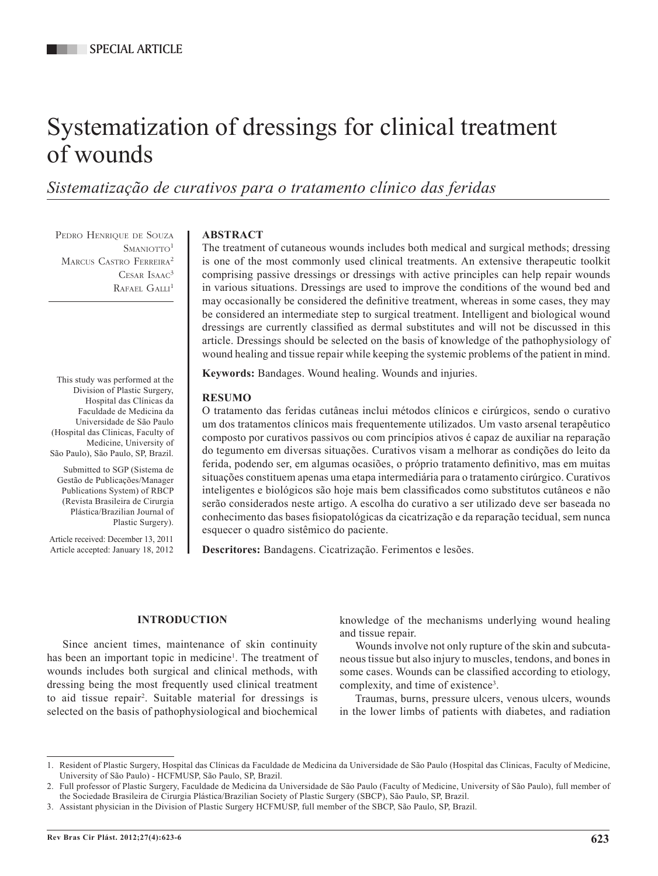# Systematization of dressings for clinical treatment of wounds

# *Sistematização de curativos para o tratamento clínico das feridas*

PEDRO HENRIQUE DE SOUZA  $S$ MANIOTTO<sup>1</sup> MARCUS CASTRO FERREIRA<sup>2</sup> CESAR ISAAC<sup>3</sup> RAFAEL GALLI<sup>1</sup>

#### This study was performed at the Division of Plastic Surgery, Hospital das Clínicas da Faculdade de Medicina da Universidade de São Paulo (Hospital das Clinicas, Faculty of Medicine, University of São Paulo), São Paulo, SP, Brazil.

Submitted to SGP (Sistema de Gestão de Publicações/Manager Publications System) of RBCP (Revista Brasileira de Cirurgia Plástica/Brazilian Journal of Plastic Surgery).

Article received: December 13, 2011 Article accepted: January 18, 2012

# **ABSTRACT**

The treatment of cutaneous wounds includes both medical and surgical methods; dressing is one of the most commonly used clinical treatments. An extensive therapeutic toolkit comprising passive dressings or dressings with active principles can help repair wounds in various situations. Dressings are used to improve the conditions of the wound bed and may occasionally be considered the definitive treatment, whereas in some cases, they may be considered an intermediate step to surgical treatment. Intelligent and biological wound dressings are currently classified as dermal substitutes and will not be discussed in this article. Dressings should be selected on the basis of knowledge of the pathophysiology of wound healing and tissue repair while keeping the systemic problems of the patient in mind.

**Keywords:** Bandages. Wound healing. Wounds and injuries.

# **RESUMO**

O tratamento das feridas cutâneas inclui métodos clínicos e cirúrgicos, sendo o curativo um dos tratamentos clínicos mais frequentemente utilizados. Um vasto arsenal terapêutico composto por curativos passivos ou com princípios ativos é capaz de auxiliar na reparação do tegumento em diversas situações. Curativos visam a melhorar as condições do leito da ferida, podendo ser, em algumas ocasiões, o próprio tratamento definitivo, mas em muitas situações constituem apenas uma etapa intermediária para o tratamento cirúrgico. Curativos inteligentes e biológicos são hoje mais bem classificados como substitutos cutâneos e não serão considerados neste artigo. A escolha do curativo a ser utilizado deve ser baseada no conhecimento das bases fisiopatológicas da cicatrização e da reparação tecidual, sem nunca esquecer o quadro sistêmico do paciente.

**Descritores:** Bandagens. Cicatrização. Ferimentos e lesões.

# **INTRODUCTION**

Since ancient times, maintenance of skin continuity has been an important topic in medicine<sup>1</sup>. The treatment of wounds includes both surgical and clinical methods, with dressing being the most frequently used clinical treatment to aid tissue repair<sup>2</sup> . Suitable material for dressings is selected on the basis of pathophysiological and biochemical

knowledge of the mechanisms underlying wound healing and tissue repair.

Wounds involve not only rupture of the skin and subcutaneous tissue but also injury to muscles, tendons, and bones in some cases. Wounds can be classified according to etiology, complexity, and time of existence<sup>3</sup>.

Traumas, burns, pressure ulcers, venous ulcers, wounds in the lower limbs of patients with diabetes, and radiation

<sup>1.</sup> Resident of Plastic Surgery, Hospital das Clínicas da Faculdade de Medicina da Universidade de São Paulo (Hospital das Clinicas, Faculty of Medicine, University of São Paulo) - HCFMUSP, São Paulo, SP, Brazil.

<sup>2.</sup> Full professor of Plastic Surgery, Faculdade de Medicina da Universidade de São Paulo (Faculty of Medicine, University of São Paulo), full member of the Sociedade Brasileira de Cirurgia Plástica/Brazilian Society of Plastic Surgery (SBCP), São Paulo, SP, Brazil.

<sup>3.</sup> Assistant physician in the Division of Plastic Surgery HCFMUSP, full member of the SBCP, São Paulo, SP, Brazil.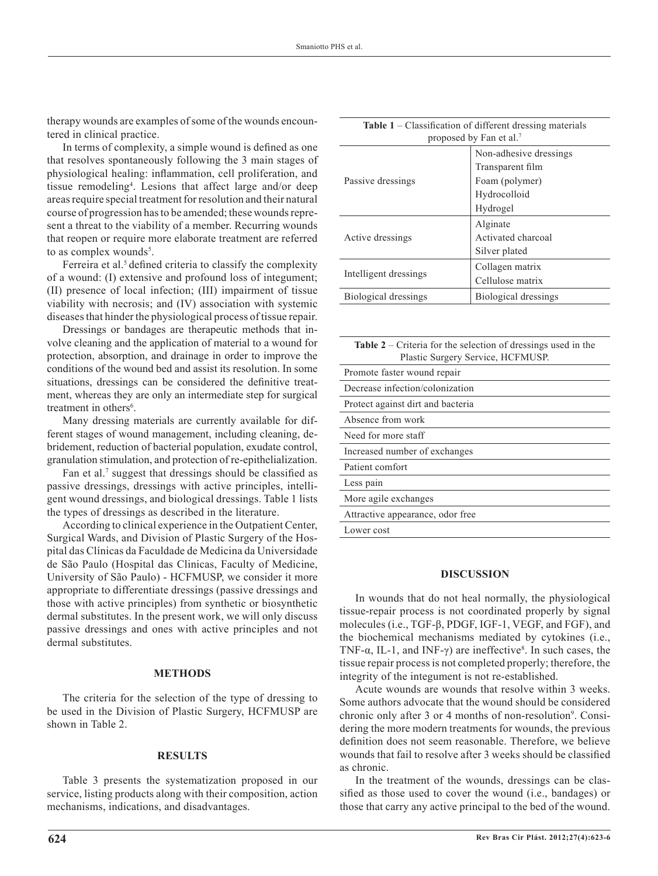therapy wounds are examples of some of the wounds encountered in clinical practice.

In terms of complexity, a simple wound is defined as one that resolves spontaneously following the 3 main stages of physiological healing: inflammation, cell proliferation, and tissue remodeling4 . Lesions that affect large and/or deep areas require special treatment for resolution and their natural course of progression has to be amended; these wounds represent a threat to the viability of a member. Recurring wounds that reopen or require more elaborate treatment are referred to as complex wounds<sup>5</sup>.

Ferreira et al.<sup>5</sup> defined criteria to classify the complexity of a wound: (I) extensive and profound loss of integument; (II) presence of local infection; (III) impairment of tissue viability with necrosis; and (IV) association with systemic diseases that hinder the physiological process of tissue repair.

Dressings or bandages are therapeutic methods that involve cleaning and the application of material to a wound for protection, absorption, and drainage in order to improve the conditions of the wound bed and assist its resolution. In some situations, dressings can be considered the definitive treatment, whereas they are only an intermediate step for surgical treatment in others<sup>6</sup>.

Many dressing materials are currently available for different stages of wound management, including cleaning, debridement, reduction of bacterial population, exudate control, granulation stimulation, and protection of re-epithelialization.

Fan et al.<sup>7</sup> suggest that dressings should be classified as passive dressings, dressings with active principles, intelligent wound dressings, and biological dressings. Table 1 lists the types of dressings as described in the literature.

According to clinical experience in the Outpatient Center, Surgical Wards, and Division of Plastic Surgery of the Hospital das Clínicas da Faculdade de Medicina da Universidade de São Paulo (Hospital das Clinicas, Faculty of Medicine, University of São Paulo) - HCFMUSP, we consider it more appropriate to differentiate dressings (passive dressings and those with active principles) from synthetic or biosynthetic dermal substitutes. In the present work, we will only discuss passive dressings and ones with active principles and not dermal substitutes.

#### **METHODs**

The criteria for the selection of the type of dressing to be used in the Division of Plastic Surgery, HCFMUSP are shown in Table 2.

## **RESULTS**

Table 3 presents the systematization proposed in our service, listing products along with their composition, action mechanisms, indications, and disadvantages.

| <b>Table 1</b> – Classification of different dressing materials<br>proposed by Fan et al. <sup>7</sup> |                        |  |  |
|--------------------------------------------------------------------------------------------------------|------------------------|--|--|
| Passive dressings                                                                                      | Non-adhesive dressings |  |  |
|                                                                                                        | Transparent film       |  |  |
|                                                                                                        | Foam (polymer)         |  |  |
|                                                                                                        | Hydrocolloid           |  |  |
|                                                                                                        | Hydrogel               |  |  |
| Active dressings                                                                                       | Alginate               |  |  |
|                                                                                                        | Activated charcoal     |  |  |
|                                                                                                        | Silver plated          |  |  |
| Intelligent dressings                                                                                  | Collagen matrix        |  |  |
|                                                                                                        | Cellulose matrix       |  |  |
| Biological dressings                                                                                   | Biological dressings   |  |  |
|                                                                                                        |                        |  |  |

**Table 2** – Criteria for the selection of dressings used in the Plastic Surgery Service, HCFMUSP.

| Promote faster wound repair       |
|-----------------------------------|
| Decrease infection/colonization   |
| Protect against dirt and bacteria |
| Absence from work                 |
| Need for more staff               |
| Increased number of exchanges     |
| Patient comfort                   |
| Less pain                         |
| More agile exchanges              |
| Attractive appearance, odor free  |
| Lower cost                        |
|                                   |

#### **DISCUSSION**

In wounds that do not heal normally, the physiological tissue-repair process is not coordinated properly by signal molecules (i.e., TGF-β, PDGF, IGF-1, VEGF, and FGF), and the biochemical mechanisms mediated by cytokines (i.e., TNF- $\alpha$ , IL-1, and INF- $\gamma$ ) are ineffective<sup>8</sup>. In such cases, the tissue repair process is not completed properly; therefore, the integrity of the integument is not re-established.

Acute wounds are wounds that resolve within 3 weeks. Some authors advocate that the wound should be considered chronic only after 3 or 4 months of non-resolution<sup>9</sup>. Considering the more modern treatments for wounds, the previous definition does not seem reasonable. Therefore, we believe wounds that fail to resolve after 3 weeks should be classified as chronic.

In the treatment of the wounds, dressings can be classified as those used to cover the wound (i.e., bandages) or those that carry any active principal to the bed of the wound.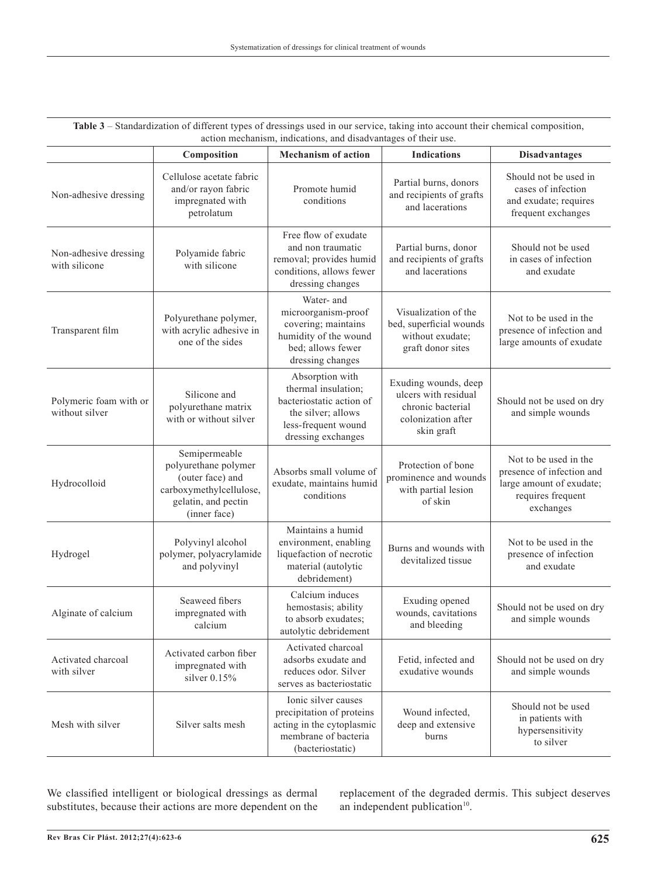| action mechanism, indications, and disadvantages of their use. |                                                                                                                             |                                                                                                                                       |                                                                                                       |                                                                                                                  |  |  |
|----------------------------------------------------------------|-----------------------------------------------------------------------------------------------------------------------------|---------------------------------------------------------------------------------------------------------------------------------------|-------------------------------------------------------------------------------------------------------|------------------------------------------------------------------------------------------------------------------|--|--|
|                                                                | Composition                                                                                                                 | <b>Mechanism of action</b>                                                                                                            | <b>Indications</b>                                                                                    | <b>Disadvantages</b>                                                                                             |  |  |
| Non-adhesive dressing                                          | Cellulose acetate fabric<br>and/or rayon fabric<br>impregnated with<br>petrolatum                                           | Promote humid<br>conditions                                                                                                           | Partial burns, donors<br>and recipients of grafts<br>and lacerations                                  | Should not be used in<br>cases of infection<br>and exudate; requires<br>frequent exchanges                       |  |  |
| Non-adhesive dressing<br>with silicone                         | Polyamide fabric<br>with silicone                                                                                           | Free flow of exudate<br>and non traumatic<br>removal; provides humid<br>conditions, allows fewer<br>dressing changes                  | Partial burns, donor<br>and recipients of grafts<br>and lacerations                                   | Should not be used<br>in cases of infection<br>and exudate                                                       |  |  |
| Transparent film                                               | Polyurethane polymer,<br>with acrylic adhesive in<br>one of the sides                                                       | Water- and<br>microorganism-proof<br>covering; maintains<br>humidity of the wound<br>bed; allows fewer<br>dressing changes            | Visualization of the<br>bed, superficial wounds<br>without exudate;<br>graft donor sites              | Not to be used in the<br>presence of infection and<br>large amounts of exudate                                   |  |  |
| Polymeric foam with or<br>without silver                       | Silicone and<br>polyurethane matrix<br>with or without silver                                                               | Absorption with<br>thermal insulation;<br>bacteriostatic action of<br>the silver; allows<br>less-frequent wound<br>dressing exchanges | Exuding wounds, deep<br>ulcers with residual<br>chronic bacterial<br>colonization after<br>skin graft | Should not be used on dry<br>and simple wounds                                                                   |  |  |
| Hydrocolloid                                                   | Semipermeable<br>polyurethane polymer<br>(outer face) and<br>carboxymethylcellulose,<br>gelatin, and pectin<br>(inner face) | Absorbs small volume of<br>exudate, maintains humid<br>conditions                                                                     | Protection of bone<br>prominence and wounds<br>with partial lesion<br>of skin                         | Not to be used in the<br>presence of infection and<br>large amount of exudate;<br>requires frequent<br>exchanges |  |  |
| Hydrogel                                                       | Polyvinyl alcohol<br>polymer, polyacrylamide<br>and polyvinyl                                                               | Maintains a humid<br>environment, enabling<br>liquefaction of necrotic<br>material (autolytic<br>debridement)                         | Burns and wounds with<br>devitalized tissue                                                           | Not to be used in the<br>presence of infection<br>and exudate                                                    |  |  |
| Alginate of calcium                                            | Seaweed fibers<br>impregnated with<br>calcium                                                                               | Calcium induces<br>hemostasis; ability<br>to absorb exudates;<br>autolytic debridement                                                | Exuding opened<br>wounds, cavitations<br>and bleeding                                                 | Should not be used on dry<br>and simple wounds                                                                   |  |  |
| Activated charcoal<br>with silver                              | Activated carbon fiber<br>impregnated with<br>silver $0.15%$                                                                | Activated charcoal<br>adsorbs exudate and<br>reduces odor. Silver<br>serves as bacteriostatic                                         | Fetid, infected and<br>exudative wounds                                                               | Should not be used on dry<br>and simple wounds                                                                   |  |  |
| Mesh with silver                                               | Silver salts mesh                                                                                                           | Ionic silver causes<br>precipitation of proteins<br>acting in the cytoplasmic<br>membrane of bacteria<br>(bacteriostatic)             | Wound infected,<br>deep and extensive<br>burns                                                        | Should not be used<br>in patients with<br>hypersensitivity<br>to silver                                          |  |  |

**Table 3** – Standardization of different types of dressings used in our service, taking into account their chemical composition,

We classified intelligent or biological dressings as dermal substitutes, because their actions are more dependent on the replacement of the degraded dermis. This subject deserves an independent publication<sup>10</sup>.